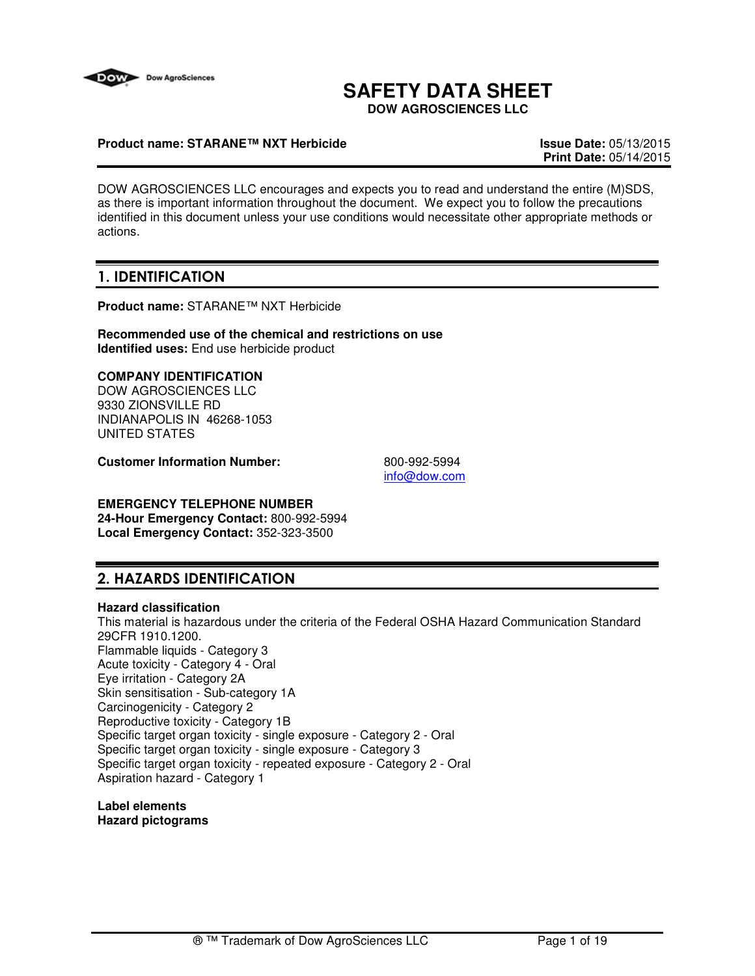

# **SAFETY DATA SHEET**

**DOW AGROSCIENCES LLC**

### **Product name: STARANE™ NXT Herbicide Issue Date:** 05/13/2015

**Print Date:** 05/14/2015

DOW AGROSCIENCES LLC encourages and expects you to read and understand the entire (M)SDS, as there is important information throughout the document. We expect you to follow the precautions identified in this document unless your use conditions would necessitate other appropriate methods or actions.

## 1. IDENTIFICATION

**Product name:** STARANE™ NXT Herbicide

**Recommended use of the chemical and restrictions on use Identified uses:** End use herbicide product

### **COMPANY IDENTIFICATION**

DOW AGROSCIENCES LLC 9330 ZIONSVILLE RD INDIANAPOLIS IN 46268-1053 UNITED STATES

**Customer Information Number:** 800-992-5994

info@dow.com

## **EMERGENCY TELEPHONE NUMBER**

**24-Hour Emergency Contact:** 800-992-5994 **Local Emergency Contact:** 352-323-3500

## 2. HAZARDS IDENTIFICATION

#### **Hazard classification**

This material is hazardous under the criteria of the Federal OSHA Hazard Communication Standard 29CFR 1910.1200. Flammable liquids - Category 3 Acute toxicity - Category 4 - Oral Eye irritation - Category 2A Skin sensitisation - Sub-category 1A Carcinogenicity - Category 2 Reproductive toxicity - Category 1B Specific target organ toxicity - single exposure - Category 2 - Oral Specific target organ toxicity - single exposure - Category 3 Specific target organ toxicity - repeated exposure - Category 2 - Oral Aspiration hazard - Category 1

**Label elements Hazard pictograms**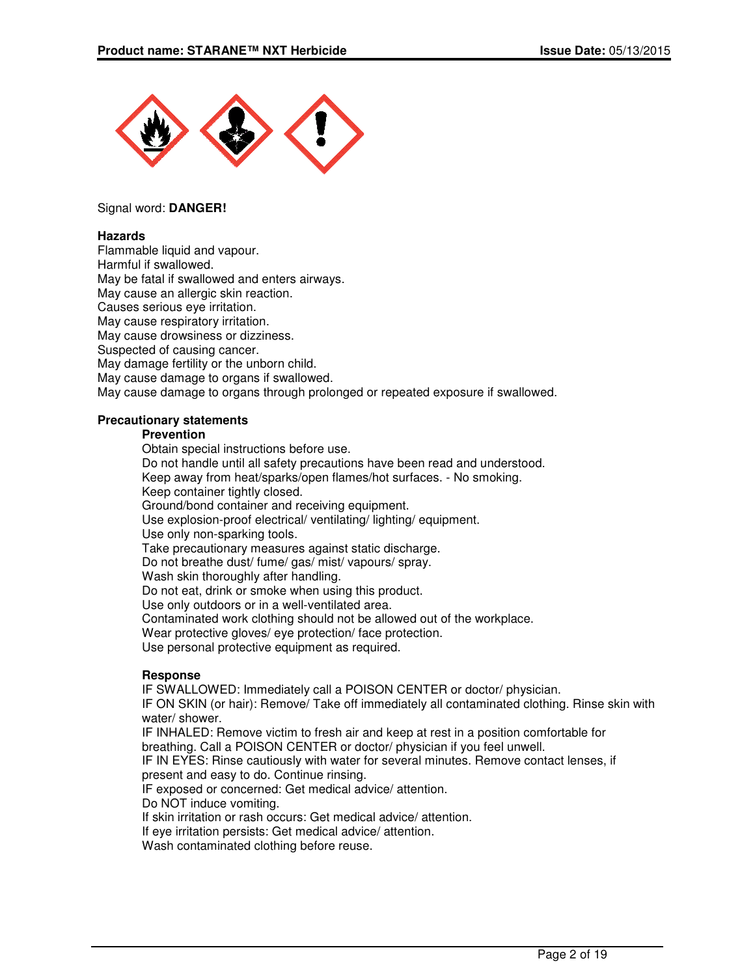

#### Signal word: **DANGER!**

#### **Hazards**

Flammable liquid and vapour. Harmful if swallowed. May be fatal if swallowed and enters airways. May cause an allergic skin reaction. Causes serious eye irritation. May cause respiratory irritation. May cause drowsiness or dizziness. Suspected of causing cancer. May damage fertility or the unborn child. May cause damage to organs if swallowed. May cause damage to organs through prolonged or repeated exposure if swallowed.

### **Precautionary statements**

#### **Prevention**

Obtain special instructions before use. Do not handle until all safety precautions have been read and understood. Keep away from heat/sparks/open flames/hot surfaces. - No smoking. Keep container tightly closed. Ground/bond container and receiving equipment. Use explosion-proof electrical/ ventilating/ lighting/ equipment. Use only non-sparking tools. Take precautionary measures against static discharge. Do not breathe dust/ fume/ gas/ mist/ vapours/ spray. Wash skin thoroughly after handling. Do not eat, drink or smoke when using this product. Use only outdoors or in a well-ventilated area. Contaminated work clothing should not be allowed out of the workplace. Wear protective gloves/ eye protection/ face protection. Use personal protective equipment as required.

#### **Response**

IF SWALLOWED: Immediately call a POISON CENTER or doctor/ physician.

IF ON SKIN (or hair): Remove/ Take off immediately all contaminated clothing. Rinse skin with water/ shower.

IF INHALED: Remove victim to fresh air and keep at rest in a position comfortable for breathing. Call a POISON CENTER or doctor/ physician if you feel unwell.

IF IN EYES: Rinse cautiously with water for several minutes. Remove contact lenses, if present and easy to do. Continue rinsing.

IF exposed or concerned: Get medical advice/ attention.

Do NOT induce vomiting.

If skin irritation or rash occurs: Get medical advice/ attention.

If eye irritation persists: Get medical advice/ attention.

Wash contaminated clothing before reuse.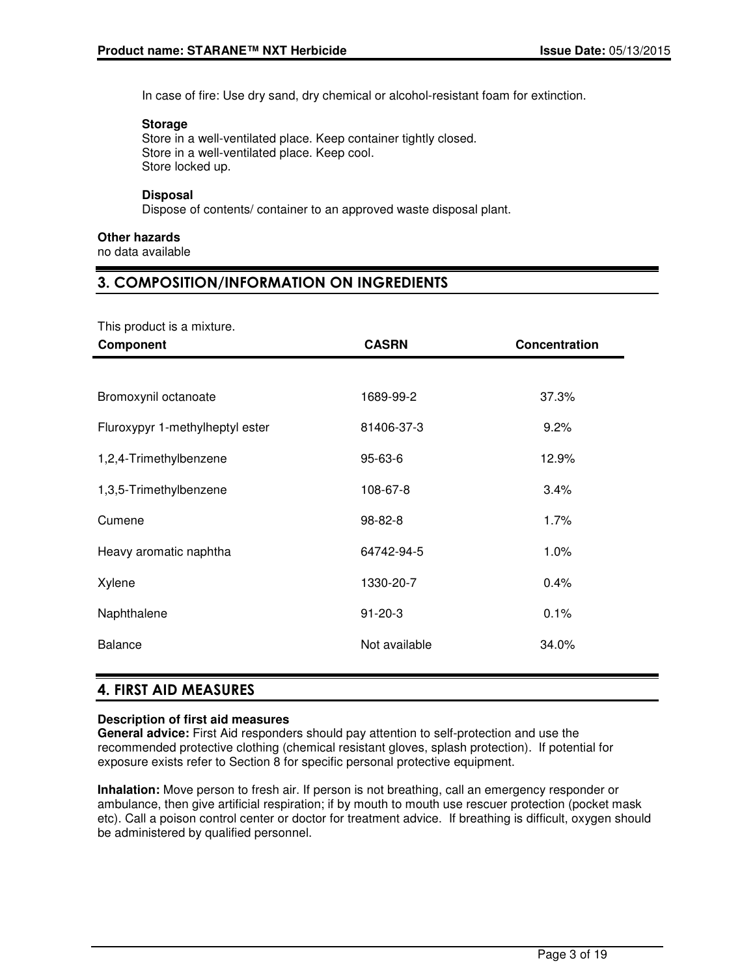In case of fire: Use dry sand, dry chemical or alcohol-resistant foam for extinction.

## **Storage**

Store in a well-ventilated place. Keep container tightly closed. Store in a well-ventilated place. Keep cool. Store locked up.

## **Disposal**

Dispose of contents/ container to an approved waste disposal plant.

## **Other hazards**

no data available

## 3. COMPOSITION/INFORMATION ON INGREDIENTS

| This product is a mixture.      |               |               |
|---------------------------------|---------------|---------------|
| Component                       | <b>CASRN</b>  | Concentration |
|                                 |               |               |
| Bromoxynil octanoate            | 1689-99-2     | 37.3%         |
| Fluroxypyr 1-methylheptyl ester | 81406-37-3    | 9.2%          |
| 1,2,4-Trimethylbenzene          | 95-63-6       | 12.9%         |
| 1,3,5-Trimethylbenzene          | 108-67-8      | 3.4%          |
| Cumene                          | 98-82-8       | 1.7%          |
| Heavy aromatic naphtha          | 64742-94-5    | $1.0\%$       |
| Xylene                          | 1330-20-7     | 0.4%          |
| Naphthalene                     | $91 - 20 - 3$ | 0.1%          |
| <b>Balance</b>                  | Not available | 34.0%         |
|                                 |               |               |

## 4. FIRST AID MEASURES

## **Description of first aid measures**

**General advice:** First Aid responders should pay attention to self-protection and use the recommended protective clothing (chemical resistant gloves, splash protection). If potential for exposure exists refer to Section 8 for specific personal protective equipment.

**Inhalation:** Move person to fresh air. If person is not breathing, call an emergency responder or ambulance, then give artificial respiration; if by mouth to mouth use rescuer protection (pocket mask etc). Call a poison control center or doctor for treatment advice. If breathing is difficult, oxygen should be administered by qualified personnel.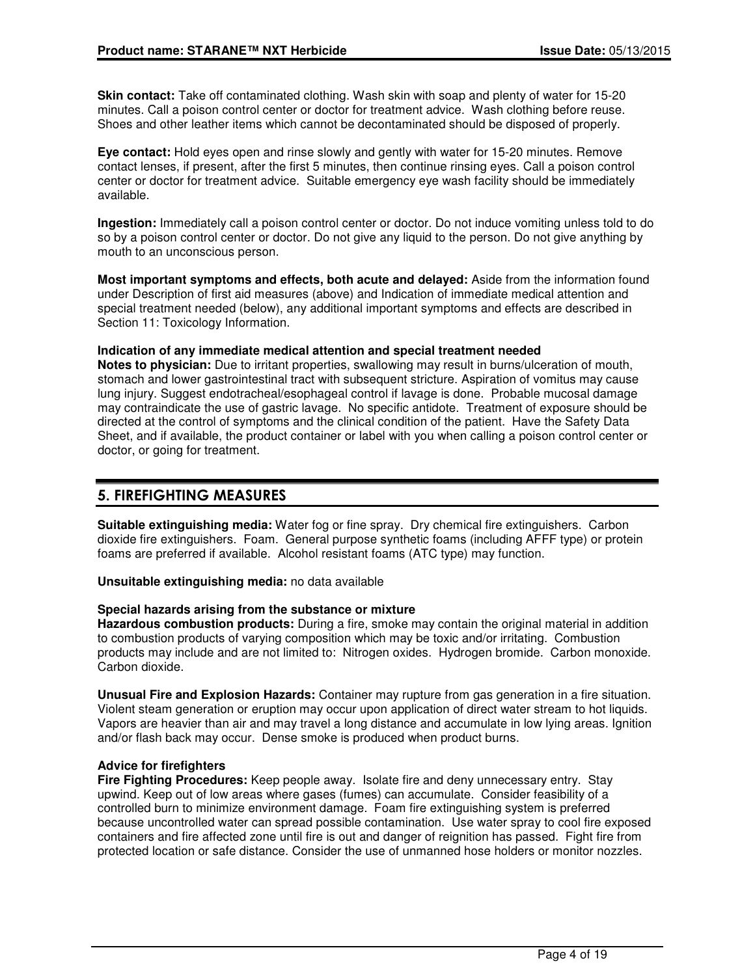**Skin contact:** Take off contaminated clothing. Wash skin with soap and plenty of water for 15-20 minutes. Call a poison control center or doctor for treatment advice. Wash clothing before reuse. Shoes and other leather items which cannot be decontaminated should be disposed of properly.

**Eye contact:** Hold eyes open and rinse slowly and gently with water for 15-20 minutes. Remove contact lenses, if present, after the first 5 minutes, then continue rinsing eyes. Call a poison control center or doctor for treatment advice. Suitable emergency eye wash facility should be immediately available.

**Ingestion:** Immediately call a poison control center or doctor. Do not induce vomiting unless told to do so by a poison control center or doctor. Do not give any liquid to the person. Do not give anything by mouth to an unconscious person.

**Most important symptoms and effects, both acute and delayed:** Aside from the information found under Description of first aid measures (above) and Indication of immediate medical attention and special treatment needed (below), any additional important symptoms and effects are described in Section 11: Toxicology Information.

**Indication of any immediate medical attention and special treatment needed**

**Notes to physician:** Due to irritant properties, swallowing may result in burns/ulceration of mouth, stomach and lower gastrointestinal tract with subsequent stricture. Aspiration of vomitus may cause lung injury. Suggest endotracheal/esophageal control if lavage is done. Probable mucosal damage may contraindicate the use of gastric lavage. No specific antidote. Treatment of exposure should be directed at the control of symptoms and the clinical condition of the patient. Have the Safety Data Sheet, and if available, the product container or label with you when calling a poison control center or doctor, or going for treatment.

## 5. FIREFIGHTING MEASURES

**Suitable extinguishing media:** Water fog or fine spray. Dry chemical fire extinguishers. Carbon dioxide fire extinguishers. Foam. General purpose synthetic foams (including AFFF type) or protein foams are preferred if available. Alcohol resistant foams (ATC type) may function.

**Unsuitable extinguishing media:** no data available

#### **Special hazards arising from the substance or mixture**

**Hazardous combustion products:** During a fire, smoke may contain the original material in addition to combustion products of varying composition which may be toxic and/or irritating. Combustion products may include and are not limited to: Nitrogen oxides. Hydrogen bromide. Carbon monoxide. Carbon dioxide.

**Unusual Fire and Explosion Hazards:** Container may rupture from gas generation in a fire situation. Violent steam generation or eruption may occur upon application of direct water stream to hot liquids. Vapors are heavier than air and may travel a long distance and accumulate in low lying areas. Ignition and/or flash back may occur. Dense smoke is produced when product burns.

#### **Advice for firefighters**

**Fire Fighting Procedures:** Keep people away. Isolate fire and deny unnecessary entry. Stay upwind. Keep out of low areas where gases (fumes) can accumulate. Consider feasibility of a controlled burn to minimize environment damage. Foam fire extinguishing system is preferred because uncontrolled water can spread possible contamination. Use water spray to cool fire exposed containers and fire affected zone until fire is out and danger of reignition has passed. Fight fire from protected location or safe distance. Consider the use of unmanned hose holders or monitor nozzles.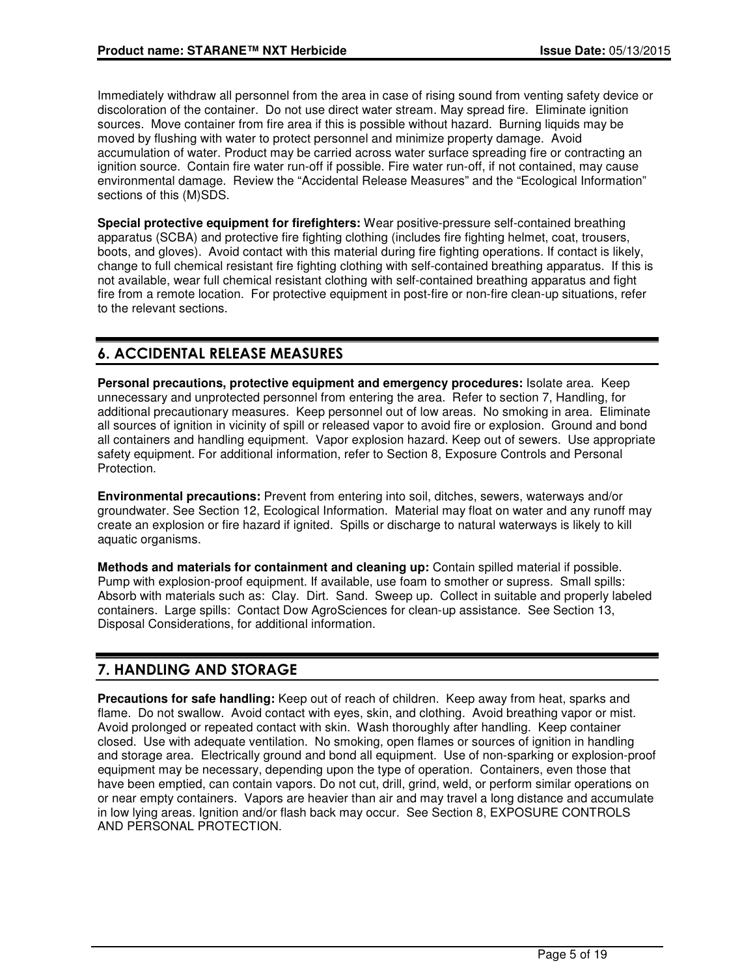Immediately withdraw all personnel from the area in case of rising sound from venting safety device or discoloration of the container. Do not use direct water stream. May spread fire. Eliminate ignition sources. Move container from fire area if this is possible without hazard. Burning liquids may be moved by flushing with water to protect personnel and minimize property damage. Avoid accumulation of water. Product may be carried across water surface spreading fire or contracting an ignition source. Contain fire water run-off if possible. Fire water run-off, if not contained, may cause environmental damage. Review the "Accidental Release Measures" and the "Ecological Information" sections of this (M)SDS.

**Special protective equipment for firefighters:** Wear positive-pressure self-contained breathing apparatus (SCBA) and protective fire fighting clothing (includes fire fighting helmet, coat, trousers, boots, and gloves). Avoid contact with this material during fire fighting operations. If contact is likely, change to full chemical resistant fire fighting clothing with self-contained breathing apparatus. If this is not available, wear full chemical resistant clothing with self-contained breathing apparatus and fight fire from a remote location. For protective equipment in post-fire or non-fire clean-up situations, refer to the relevant sections.

## 6. ACCIDENTAL RELEASE MEASURES

**Personal precautions, protective equipment and emergency procedures:** Isolate area. Keep unnecessary and unprotected personnel from entering the area. Refer to section 7, Handling, for additional precautionary measures. Keep personnel out of low areas. No smoking in area. Eliminate all sources of ignition in vicinity of spill or released vapor to avoid fire or explosion. Ground and bond all containers and handling equipment. Vapor explosion hazard. Keep out of sewers. Use appropriate safety equipment. For additional information, refer to Section 8, Exposure Controls and Personal Protection.

**Environmental precautions:** Prevent from entering into soil, ditches, sewers, waterways and/or groundwater. See Section 12, Ecological Information. Material may float on water and any runoff may create an explosion or fire hazard if ignited. Spills or discharge to natural waterways is likely to kill aquatic organisms.

**Methods and materials for containment and cleaning up:** Contain spilled material if possible. Pump with explosion-proof equipment. If available, use foam to smother or supress. Small spills: Absorb with materials such as: Clay. Dirt. Sand. Sweep up. Collect in suitable and properly labeled containers. Large spills: Contact Dow AgroSciences for clean-up assistance. See Section 13, Disposal Considerations, for additional information.

## 7. HANDLING AND STORAGE

**Precautions for safe handling:** Keep out of reach of children. Keep away from heat, sparks and flame. Do not swallow. Avoid contact with eyes, skin, and clothing. Avoid breathing vapor or mist. Avoid prolonged or repeated contact with skin. Wash thoroughly after handling. Keep container closed. Use with adequate ventilation. No smoking, open flames or sources of ignition in handling and storage area. Electrically ground and bond all equipment. Use of non-sparking or explosion-proof equipment may be necessary, depending upon the type of operation. Containers, even those that have been emptied, can contain vapors. Do not cut, drill, grind, weld, or perform similar operations on or near empty containers. Vapors are heavier than air and may travel a long distance and accumulate in low lying areas. Ignition and/or flash back may occur. See Section 8, EXPOSURE CONTROLS AND PERSONAL PROTECTION.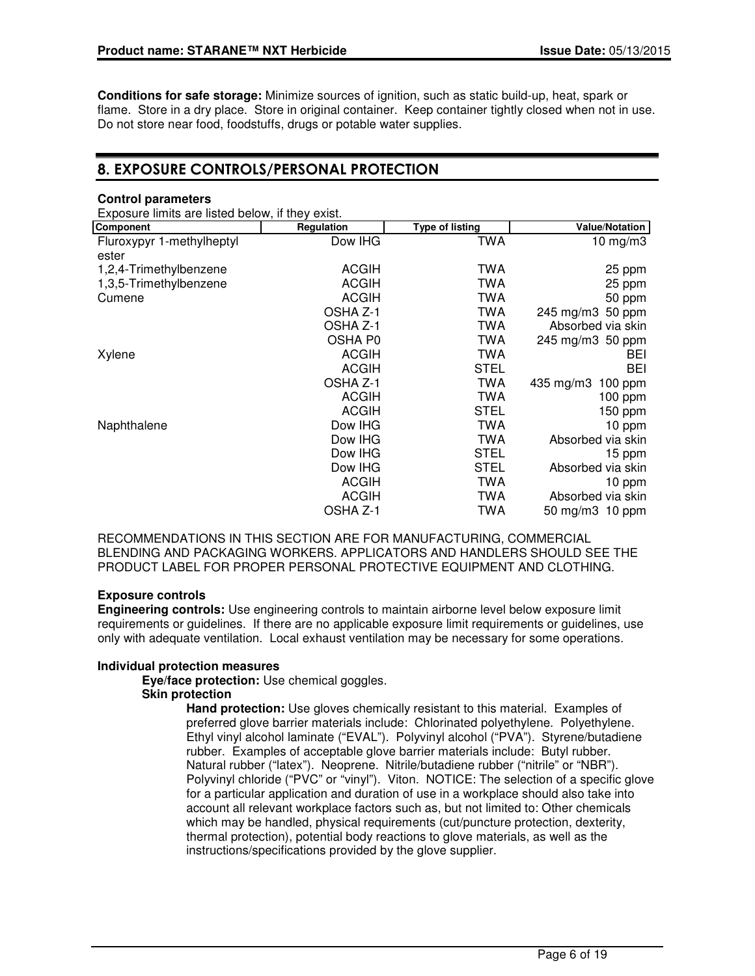**Conditions for safe storage:** Minimize sources of ignition, such as static build-up, heat, spark or flame. Store in a dry place. Store in original container. Keep container tightly closed when not in use. Do not store near food, foodstuffs, drugs or potable water supplies.

## 8. EXPOSURE CONTROLS/PERSONAL PROTECTION

#### **Control parameters**

Exposure limits are listed below, if they exist.

| Component                 | Regulation   | <b>Type of listing</b> | <b>Value/Notation</b> |
|---------------------------|--------------|------------------------|-----------------------|
| Fluroxypyr 1-methylheptyl | Dow IHG      | TWA                    | $10 \text{ mg/m}$ 3   |
| ester                     |              |                        |                       |
| 1,2,4-Trimethylbenzene    | <b>ACGIH</b> | TWA                    | 25 ppm                |
| 1,3,5-Trimethylbenzene    | <b>ACGIH</b> | TWA                    | 25 ppm                |
| Cumene                    | <b>ACGIH</b> | TWA                    | 50 ppm                |
|                           | OSHA Z-1     | TWA                    | 245 mg/m3 50 ppm      |
|                           | OSHA Z-1     | TWA                    | Absorbed via skin     |
|                           | OSHA P0      | TWA                    | 245 mg/m3 50 ppm      |
| Xylene                    | <b>ACGIH</b> | TWA                    | <b>BEI</b>            |
|                           | <b>ACGIH</b> | <b>STEL</b>            | <b>BEI</b>            |
|                           | OSHA Z-1     | TWA                    | 435 mg/m3<br>100 ppm  |
|                           | <b>ACGIH</b> | TWA                    | 100 ppm               |
|                           | <b>ACGIH</b> | <b>STEL</b>            | 150 ppm               |
| Naphthalene               | Dow IHG      | TWA                    | 10 ppm                |
|                           | Dow IHG      | TWA                    | Absorbed via skin     |
|                           | Dow IHG      | STEL                   | 15 ppm                |
|                           | Dow IHG      | <b>STEL</b>            | Absorbed via skin     |
|                           | <b>ACGIH</b> | TWA                    | 10 ppm                |
|                           | <b>ACGIH</b> | TWA                    | Absorbed via skin     |
|                           | OSHA Z-1     | TWA                    | 50 mg/m3 10 ppm       |

RECOMMENDATIONS IN THIS SECTION ARE FOR MANUFACTURING, COMMERCIAL BLENDING AND PACKAGING WORKERS. APPLICATORS AND HANDLERS SHOULD SEE THE PRODUCT LABEL FOR PROPER PERSONAL PROTECTIVE EQUIPMENT AND CLOTHING.

## **Exposure controls**

**Engineering controls:** Use engineering controls to maintain airborne level below exposure limit requirements or guidelines. If there are no applicable exposure limit requirements or guidelines, use only with adequate ventilation. Local exhaust ventilation may be necessary for some operations.

## **Individual protection measures**

**Eye/face protection:** Use chemical goggles.

## **Skin protection**

**Hand protection:** Use gloves chemically resistant to this material. Examples of preferred glove barrier materials include: Chlorinated polyethylene. Polyethylene. Ethyl vinyl alcohol laminate ("EVAL"). Polyvinyl alcohol ("PVA"). Styrene/butadiene rubber. Examples of acceptable glove barrier materials include: Butyl rubber. Natural rubber ("latex"). Neoprene. Nitrile/butadiene rubber ("nitrile" or "NBR"). Polyvinyl chloride ("PVC" or "vinyl"). Viton. NOTICE: The selection of a specific glove for a particular application and duration of use in a workplace should also take into account all relevant workplace factors such as, but not limited to: Other chemicals which may be handled, physical requirements (cut/puncture protection, dexterity, thermal protection), potential body reactions to glove materials, as well as the instructions/specifications provided by the glove supplier.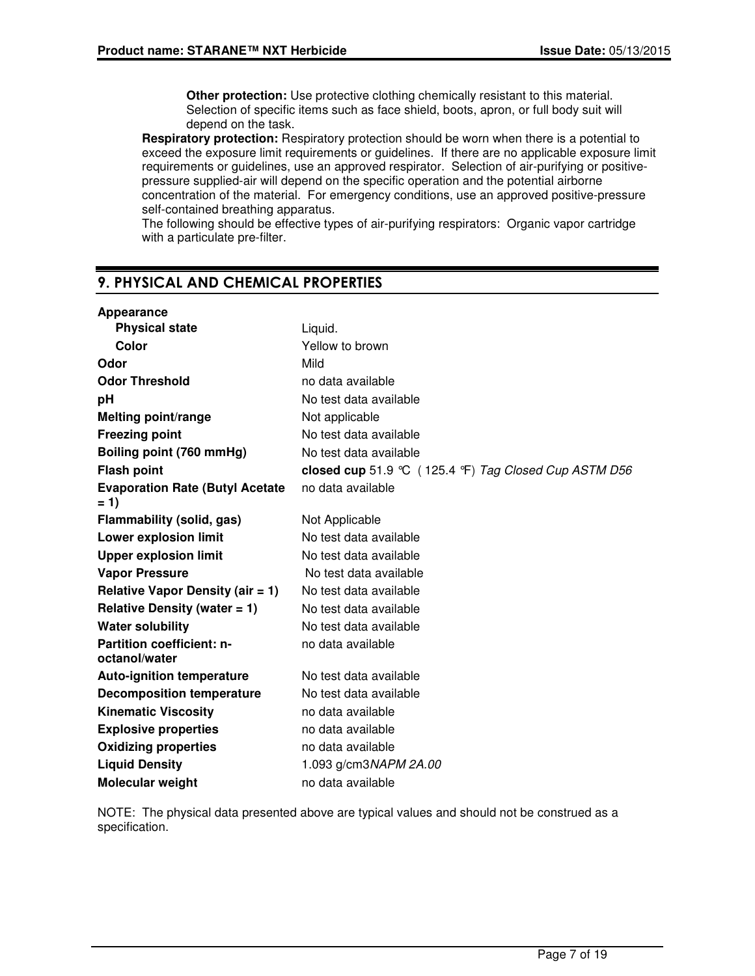**Other protection:** Use protective clothing chemically resistant to this material. Selection of specific items such as face shield, boots, apron, or full body suit will depend on the task.

**Respiratory protection:** Respiratory protection should be worn when there is a potential to exceed the exposure limit requirements or guidelines. If there are no applicable exposure limit requirements or guidelines, use an approved respirator. Selection of air-purifying or positivepressure supplied-air will depend on the specific operation and the potential airborne concentration of the material. For emergency conditions, use an approved positive-pressure self-contained breathing apparatus.

The following should be effective types of air-purifying respirators: Organic vapor cartridge with a particulate pre-filter.

## 9. PHYSICAL AND CHEMICAL PROPERTIES

| Appearance                                        |                                                       |
|---------------------------------------------------|-------------------------------------------------------|
| <b>Physical state</b>                             | Liquid.                                               |
| Color                                             | Yellow to brown                                       |
| Odor                                              | Mild                                                  |
| <b>Odor Threshold</b>                             | no data available                                     |
| pH                                                | No test data available                                |
| <b>Melting point/range</b>                        | Not applicable                                        |
| <b>Freezing point</b>                             | No test data available                                |
| Boiling point (760 mmHg)                          | No test data available                                |
| <b>Flash point</b>                                | closed cup 51.9 °C (125.4 °F) Tag Closed Cup ASTM D56 |
| <b>Evaporation Rate (Butyl Acetate)</b><br>$= 1$  | no data available                                     |
| Flammability (solid, gas)                         | Not Applicable                                        |
| <b>Lower explosion limit</b>                      | No test data available                                |
| <b>Upper explosion limit</b>                      | No test data available                                |
| <b>Vapor Pressure</b>                             | No test data available                                |
| <b>Relative Vapor Density (air = 1)</b>           | No test data available                                |
| Relative Density (water $= 1$ )                   | No test data available                                |
| <b>Water solubility</b>                           | No test data available                                |
| <b>Partition coefficient: n-</b><br>octanol/water | no data available                                     |
| <b>Auto-ignition temperature</b>                  | No test data available                                |
| <b>Decomposition temperature</b>                  | No test data available                                |
| <b>Kinematic Viscosity</b>                        | no data available                                     |
| <b>Explosive properties</b>                       | no data available                                     |
| <b>Oxidizing properties</b>                       | no data available                                     |
| <b>Liquid Density</b>                             | 1.093 g/cm3NAPM 2A.00                                 |
| Molecular weight                                  | no data available                                     |

NOTE: The physical data presented above are typical values and should not be construed as a specification.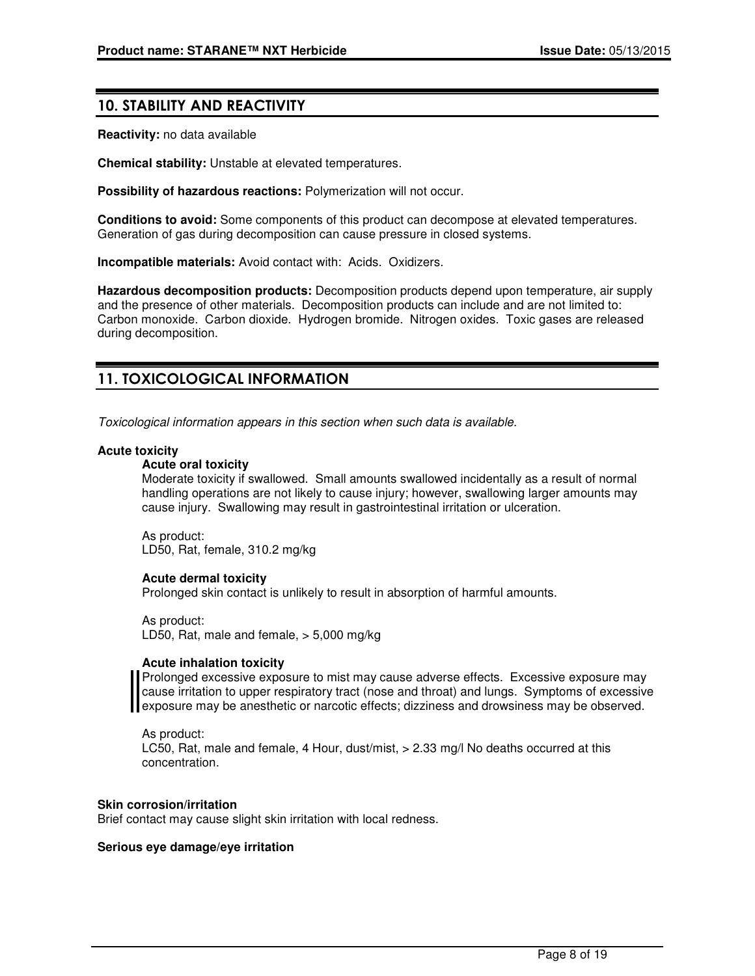## 10. STABILITY AND REACTIVITY

**Reactivity:** no data available

**Chemical stability:** Unstable at elevated temperatures.

**Possibility of hazardous reactions:** Polymerization will not occur.

**Conditions to avoid:** Some components of this product can decompose at elevated temperatures. Generation of gas during decomposition can cause pressure in closed systems.

**Incompatible materials:** Avoid contact with: Acids. Oxidizers.

**Hazardous decomposition products:** Decomposition products depend upon temperature, air supply and the presence of other materials. Decomposition products can include and are not limited to: Carbon monoxide. Carbon dioxide. Hydrogen bromide. Nitrogen oxides. Toxic gases are released during decomposition.

## 11. TOXICOLOGICAL INFORMATION

Toxicological information appears in this section when such data is available.

#### **Acute toxicity**

#### **Acute oral toxicity**

Moderate toxicity if swallowed. Small amounts swallowed incidentally as a result of normal handling operations are not likely to cause injury; however, swallowing larger amounts may cause injury. Swallowing may result in gastrointestinal irritation or ulceration.

As product: LD50, Rat, female, 310.2 mg/kg

#### **Acute dermal toxicity**

Prolonged skin contact is unlikely to result in absorption of harmful amounts.

As product: LD50, Rat, male and female, > 5,000 mg/kg

#### **Acute inhalation toxicity**

Prolonged excessive exposure to mist may cause adverse effects. Excessive exposure may cause irritation to upper respiratory tract (nose and throat) and lungs. Symptoms of excessive exposure may be anesthetic or narcotic effects; dizziness and drowsiness may be observed.

As product: LC50, Rat, male and female, 4 Hour, dust/mist, > 2.33 mg/l No deaths occurred at this concentration.

#### **Skin corrosion/irritation**

Brief contact may cause slight skin irritation with local redness.

#### **Serious eye damage/eye irritation**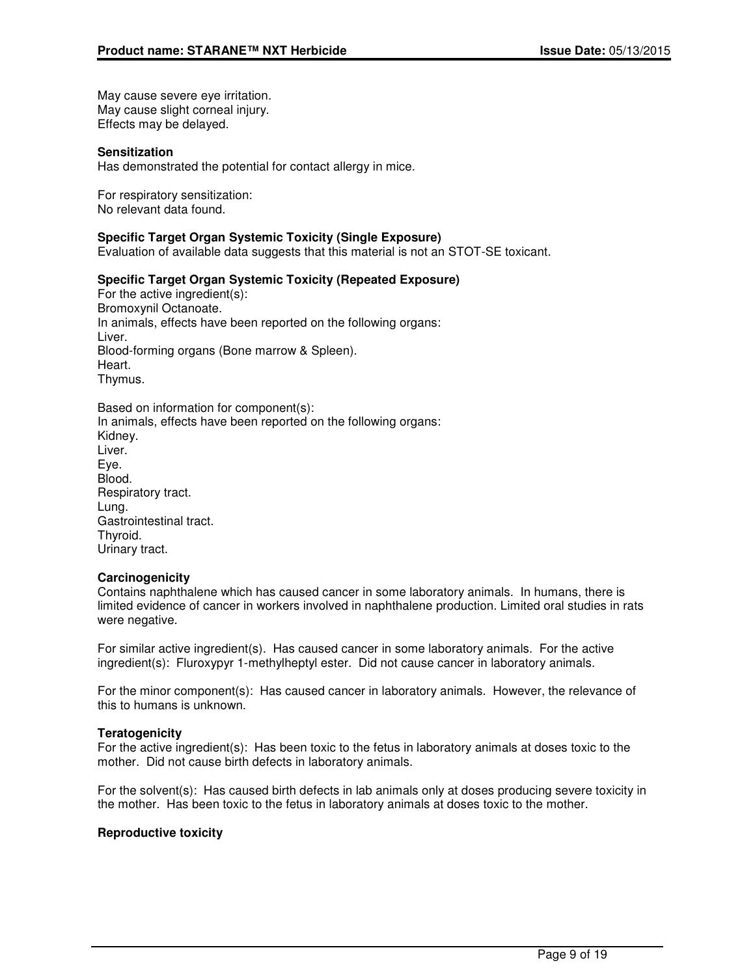May cause severe eye irritation. May cause slight corneal injury. Effects may be delayed.

#### **Sensitization**

Has demonstrated the potential for contact allergy in mice.

For respiratory sensitization: No relevant data found.

#### **Specific Target Organ Systemic Toxicity (Single Exposure)**

Evaluation of available data suggests that this material is not an STOT-SE toxicant.

#### **Specific Target Organ Systemic Toxicity (Repeated Exposure)**

For the active ingredient(s): Bromoxynil Octanoate. In animals, effects have been reported on the following organs: Liver. Blood-forming organs (Bone marrow & Spleen). Heart. Thymus.

| Based on information for component(s):                          |
|-----------------------------------------------------------------|
| In animals, effects have been reported on the following organs: |
| Kidney.                                                         |
| Liver.                                                          |
| Eye.                                                            |
| Blood.                                                          |
| Respiratory tract.                                              |
| Lung.                                                           |
| Gastrointestinal tract.                                         |
| Thyroid.                                                        |
| Urinary tract.                                                  |
|                                                                 |

#### **Carcinogenicity**

Contains naphthalene which has caused cancer in some laboratory animals. In humans, there is limited evidence of cancer in workers involved in naphthalene production. Limited oral studies in rats were negative.

For similar active ingredient(s). Has caused cancer in some laboratory animals. For the active ingredient(s): Fluroxypyr 1-methylheptyl ester. Did not cause cancer in laboratory animals.

For the minor component(s): Has caused cancer in laboratory animals. However, the relevance of this to humans is unknown.

#### **Teratogenicity**

For the active ingredient(s): Has been toxic to the fetus in laboratory animals at doses toxic to the mother. Did not cause birth defects in laboratory animals.

For the solvent(s): Has caused birth defects in lab animals only at doses producing severe toxicity in the mother. Has been toxic to the fetus in laboratory animals at doses toxic to the mother.

#### **Reproductive toxicity**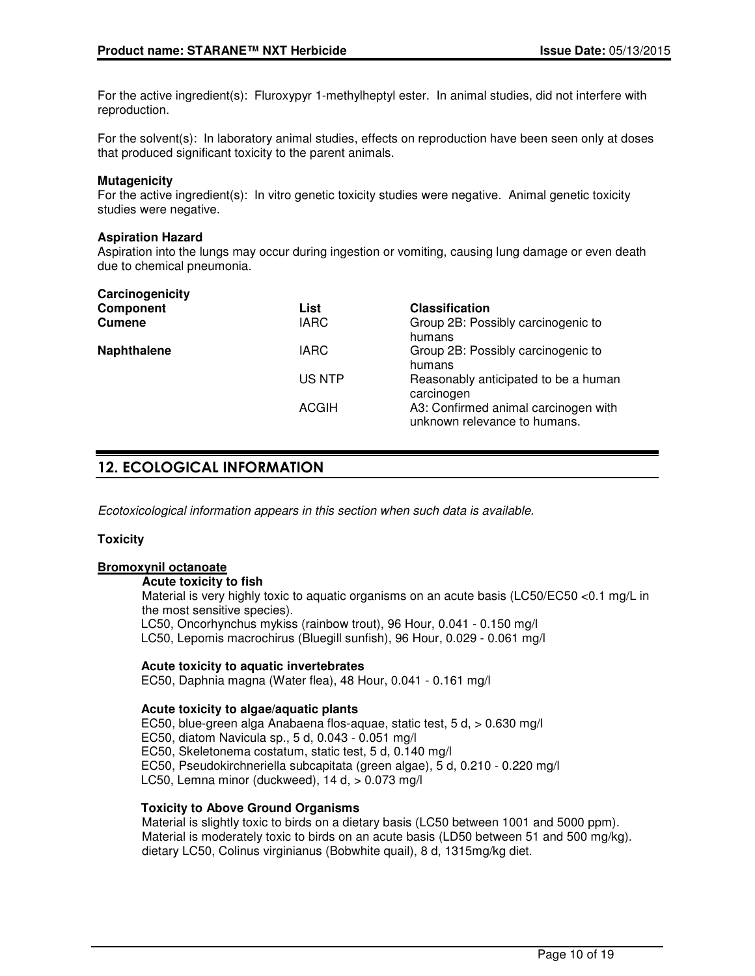For the active ingredient(s): Fluroxypyr 1-methylheptyl ester. In animal studies, did not interfere with reproduction.

For the solvent(s): In laboratory animal studies, effects on reproduction have been seen only at doses that produced significant toxicity to the parent animals.

#### **Mutagenicity**

For the active ingredient(s): In vitro genetic toxicity studies were negative. Animal genetic toxicity studies were negative.

#### **Aspiration Hazard**

Aspiration into the lungs may occur during ingestion or vomiting, causing lung damage or even death due to chemical pneumonia.

| Carcinogenicity    |              |                                                                      |
|--------------------|--------------|----------------------------------------------------------------------|
| <b>Component</b>   | List         | <b>Classification</b>                                                |
| <b>Cumene</b>      | <b>IARC</b>  | Group 2B: Possibly carcinogenic to<br>humans                         |
| <b>Naphthalene</b> | <b>IARC</b>  | Group 2B: Possibly carcinogenic to<br>humans                         |
|                    | US NTP       | Reasonably anticipated to be a human<br>carcinogen                   |
|                    | <b>ACGIH</b> | A3: Confirmed animal carcinogen with<br>unknown relevance to humans. |

## 12. ECOLOGICAL INFORMATION

Ecotoxicological information appears in this section when such data is available.

#### **Toxicity**

#### **Bromoxynil octanoate**

**Acute toxicity to fish**

Material is very highly toxic to aquatic organisms on an acute basis (LC50/EC50 <0.1 mg/L in the most sensitive species).

LC50, Oncorhynchus mykiss (rainbow trout), 96 Hour, 0.041 - 0.150 mg/l

LC50, Lepomis macrochirus (Bluegill sunfish), 96 Hour, 0.029 - 0.061 mg/l

#### **Acute toxicity to aquatic invertebrates**

EC50, Daphnia magna (Water flea), 48 Hour, 0.041 - 0.161 mg/l

#### **Acute toxicity to algae/aquatic plants**

EC50, blue-green alga Anabaena flos-aquae, static test, 5 d, > 0.630 mg/l EC50, diatom Navicula sp., 5 d, 0.043 - 0.051 mg/l EC50, Skeletonema costatum, static test, 5 d, 0.140 mg/l EC50, Pseudokirchneriella subcapitata (green algae), 5 d, 0.210 - 0.220 mg/l LC50, Lemna minor (duckweed), 14 d,  $> 0.073$  mg/l

## **Toxicity to Above Ground Organisms**

Material is slightly toxic to birds on a dietary basis (LC50 between 1001 and 5000 ppm). Material is moderately toxic to birds on an acute basis (LD50 between 51 and 500 mg/kg). dietary LC50, Colinus virginianus (Bobwhite quail), 8 d, 1315mg/kg diet.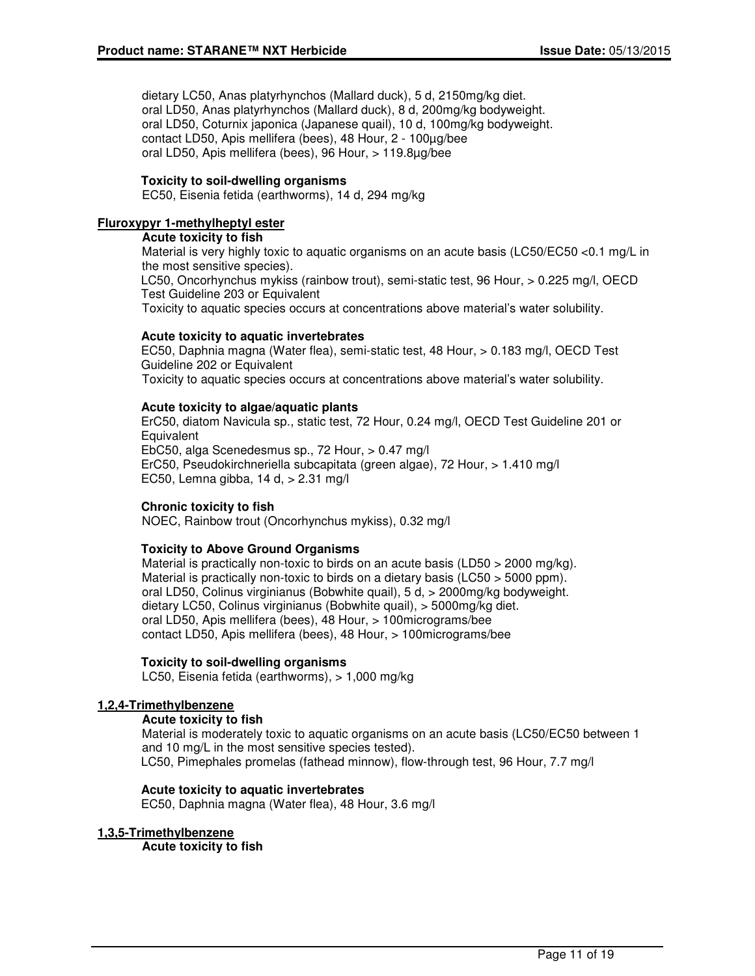dietary LC50, Anas platyrhynchos (Mallard duck), 5 d, 2150mg/kg diet. oral LD50, Anas platyrhynchos (Mallard duck), 8 d, 200mg/kg bodyweight. oral LD50, Coturnix japonica (Japanese quail), 10 d, 100mg/kg bodyweight. contact LD50, Apis mellifera (bees), 48 Hour, 2 - 100µg/bee oral LD50, Apis mellifera (bees), 96 Hour, > 119.8µg/bee

### **Toxicity to soil-dwelling organisms**

EC50, Eisenia fetida (earthworms), 14 d, 294 mg/kg

#### **Fluroxypyr 1-methylheptyl ester**

#### **Acute toxicity to fish**

Material is very highly toxic to aquatic organisms on an acute basis (LC50/EC50 <0.1 mg/L in the most sensitive species). LC50, Oncorhynchus mykiss (rainbow trout), semi-static test, 96 Hour, > 0.225 mg/l, OECD Test Guideline 203 or Equivalent

Toxicity to aquatic species occurs at concentrations above material's water solubility.

#### **Acute toxicity to aquatic invertebrates**

EC50, Daphnia magna (Water flea), semi-static test, 48 Hour, > 0.183 mg/l, OECD Test Guideline 202 or Equivalent Toxicity to aquatic species occurs at concentrations above material's water solubility.

#### **Acute toxicity to algae/aquatic plants**

ErC50, diatom Navicula sp., static test, 72 Hour, 0.24 mg/l, OECD Test Guideline 201 or **Equivalent** EbC50, alga Scenedesmus sp., 72 Hour, > 0.47 mg/l ErC50, Pseudokirchneriella subcapitata (green algae), 72 Hour, > 1.410 mg/l EC50, Lemna gibba,  $14$  d,  $> 2.31$  mg/l

#### **Chronic toxicity to fish**

NOEC, Rainbow trout (Oncorhynchus mykiss), 0.32 mg/l

#### **Toxicity to Above Ground Organisms**

Material is practically non-toxic to birds on an acute basis (LD50 > 2000 mg/kg). Material is practically non-toxic to birds on a dietary basis (LC50 > 5000 ppm). oral LD50, Colinus virginianus (Bobwhite quail), 5 d, > 2000mg/kg bodyweight. dietary LC50, Colinus virginianus (Bobwhite quail), > 5000mg/kg diet. oral LD50, Apis mellifera (bees), 48 Hour, > 100micrograms/bee contact LD50, Apis mellifera (bees), 48 Hour, > 100micrograms/bee

#### **Toxicity to soil-dwelling organisms**

LC50, Eisenia fetida (earthworms), > 1,000 mg/kg

#### **1,2,4-Trimethylbenzene**

#### **Acute toxicity to fish**

Material is moderately toxic to aquatic organisms on an acute basis (LC50/EC50 between 1 and 10 mg/L in the most sensitive species tested). LC50, Pimephales promelas (fathead minnow), flow-through test, 96 Hour, 7.7 mg/l

#### **Acute toxicity to aquatic invertebrates**

EC50, Daphnia magna (Water flea), 48 Hour, 3.6 mg/l

#### **1,3,5-Trimethylbenzene**

**Acute toxicity to fish**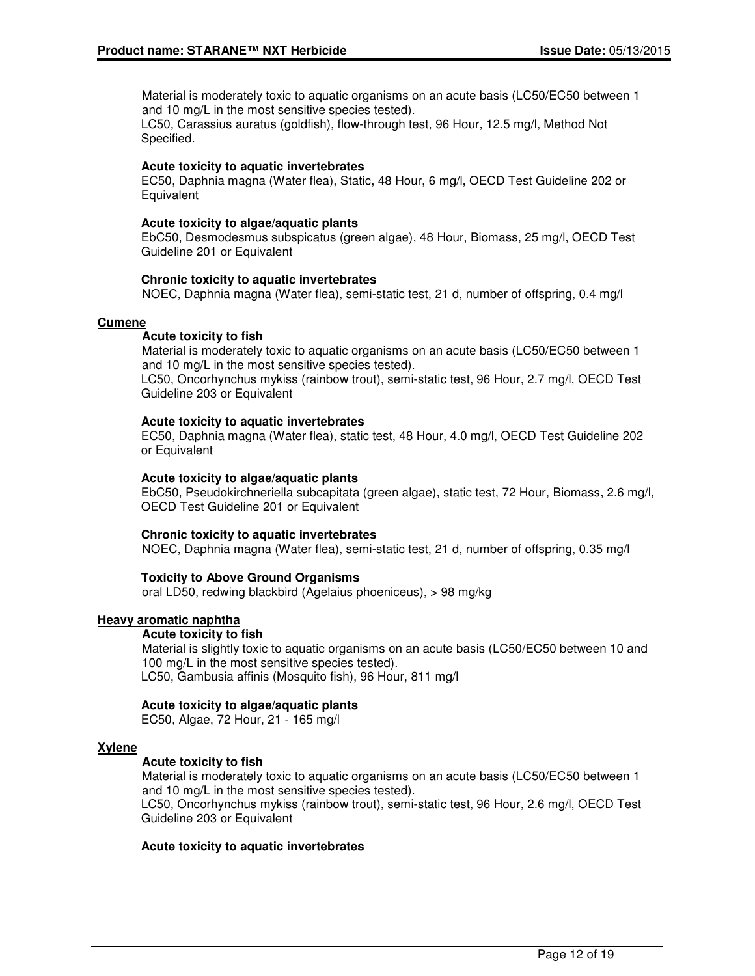Material is moderately toxic to aquatic organisms on an acute basis (LC50/EC50 between 1 and 10 mg/L in the most sensitive species tested).

LC50, Carassius auratus (goldfish), flow-through test, 96 Hour, 12.5 mg/l, Method Not Specified.

#### **Acute toxicity to aquatic invertebrates**

EC50, Daphnia magna (Water flea), Static, 48 Hour, 6 mg/l, OECD Test Guideline 202 or **Equivalent** 

#### **Acute toxicity to algae/aquatic plants**

EbC50, Desmodesmus subspicatus (green algae), 48 Hour, Biomass, 25 mg/l, OECD Test Guideline 201 or Equivalent

### **Chronic toxicity to aquatic invertebrates**

NOEC, Daphnia magna (Water flea), semi-static test, 21 d, number of offspring, 0.4 mg/l

### **Cumene**

#### **Acute toxicity to fish**

Material is moderately toxic to aquatic organisms on an acute basis (LC50/EC50 between 1 and 10 mg/L in the most sensitive species tested).

LC50, Oncorhynchus mykiss (rainbow trout), semi-static test, 96 Hour, 2.7 mg/l, OECD Test Guideline 203 or Equivalent

#### **Acute toxicity to aquatic invertebrates**

EC50, Daphnia magna (Water flea), static test, 48 Hour, 4.0 mg/l, OECD Test Guideline 202 or Equivalent

#### **Acute toxicity to algae/aquatic plants**

EbC50, Pseudokirchneriella subcapitata (green algae), static test, 72 Hour, Biomass, 2.6 mg/l, OECD Test Guideline 201 or Equivalent

#### **Chronic toxicity to aquatic invertebrates**

NOEC, Daphnia magna (Water flea), semi-static test, 21 d, number of offspring, 0.35 mg/l

## **Toxicity to Above Ground Organisms**

oral LD50, redwing blackbird (Agelaius phoeniceus), > 98 mg/kg

#### **Heavy aromatic naphtha**

#### **Acute toxicity to fish**

Material is slightly toxic to aquatic organisms on an acute basis (LC50/EC50 between 10 and 100 mg/L in the most sensitive species tested). LC50, Gambusia affinis (Mosquito fish), 96 Hour, 811 mg/l

#### **Acute toxicity to algae/aquatic plants**

EC50, Algae, 72 Hour, 21 - 165 mg/l

#### **Xylene**

## **Acute toxicity to fish**

Material is moderately toxic to aquatic organisms on an acute basis (LC50/EC50 between 1 and 10 mg/L in the most sensitive species tested).

LC50, Oncorhynchus mykiss (rainbow trout), semi-static test, 96 Hour, 2.6 mg/l, OECD Test Guideline 203 or Equivalent

#### **Acute toxicity to aquatic invertebrates**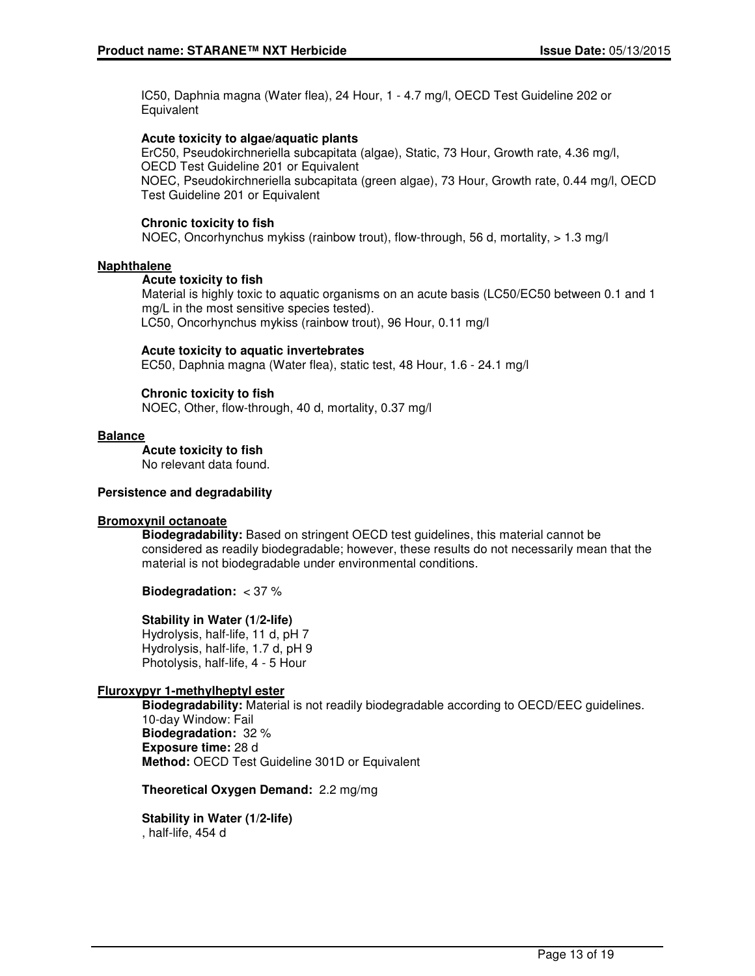IC50, Daphnia magna (Water flea), 24 Hour, 1 - 4.7 mg/l, OECD Test Guideline 202 or Equivalent

### **Acute toxicity to algae/aquatic plants**

ErC50, Pseudokirchneriella subcapitata (algae), Static, 73 Hour, Growth rate, 4.36 mg/l, OECD Test Guideline 201 or Equivalent NOEC, Pseudokirchneriella subcapitata (green algae), 73 Hour, Growth rate, 0.44 mg/l, OECD Test Guideline 201 or Equivalent

### **Chronic toxicity to fish**

NOEC, Oncorhynchus mykiss (rainbow trout), flow-through, 56 d, mortality, > 1.3 mg/l

### **Naphthalene**

#### **Acute toxicity to fish**

Material is highly toxic to aquatic organisms on an acute basis (LC50/EC50 between 0.1 and 1 mg/L in the most sensitive species tested). LC50, Oncorhynchus mykiss (rainbow trout), 96 Hour, 0.11 mg/l

#### **Acute toxicity to aquatic invertebrates**

EC50, Daphnia magna (Water flea), static test, 48 Hour, 1.6 - 24.1 mg/l

### **Chronic toxicity to fish**

NOEC, Other, flow-through, 40 d, mortality, 0.37 mg/l

#### **Balance**

### **Acute toxicity to fish**

No relevant data found.

#### **Persistence and degradability**

#### **Bromoxynil octanoate**

**Biodegradability:** Based on stringent OECD test guidelines, this material cannot be considered as readily biodegradable; however, these results do not necessarily mean that the material is not biodegradable under environmental conditions.

#### **Biodegradation:** < 37 %

#### **Stability in Water (1/2-life)**

Hydrolysis, half-life, 11 d, pH 7 Hydrolysis, half-life, 1.7 d, pH 9 Photolysis, half-life, 4 - 5 Hour

#### **Fluroxypyr 1-methylheptyl ester**

**Biodegradability:** Material is not readily biodegradable according to OECD/EEC guidelines. 10-day Window: Fail **Biodegradation:** 32 % **Exposure time:** 28 d **Method:** OECD Test Guideline 301D or Equivalent

#### **Theoretical Oxygen Demand:** 2.2 mg/mg

**Stability in Water (1/2-life)** , half-life, 454 d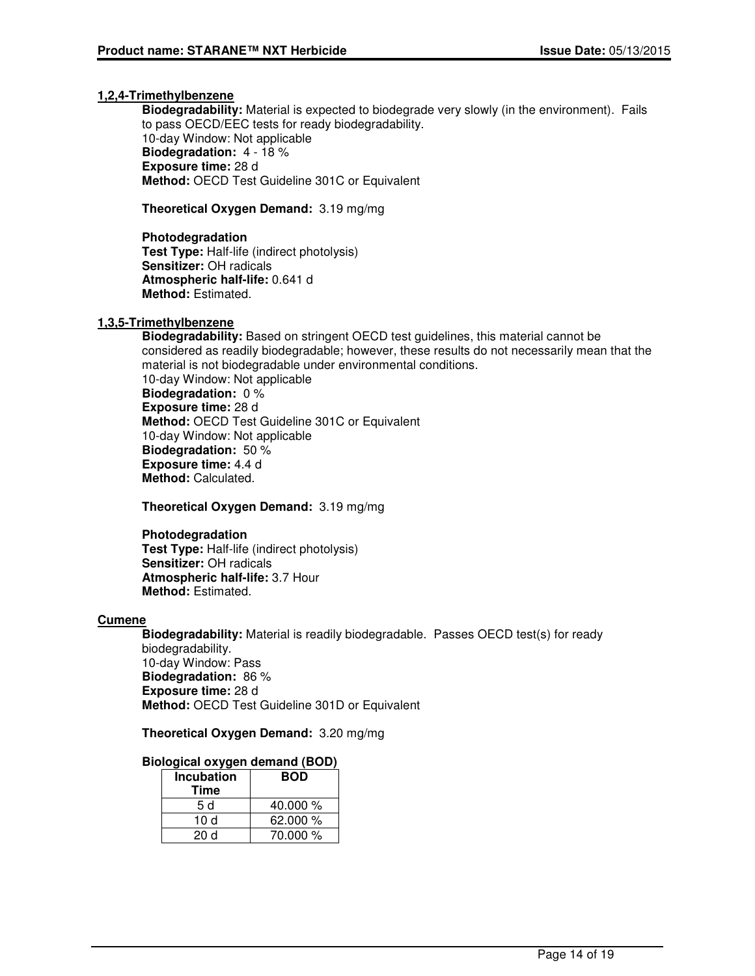#### **1,2,4-Trimethylbenzene**

**Biodegradability:** Material is expected to biodegrade very slowly (in the environment). Fails to pass OECD/EEC tests for ready biodegradability. 10-day Window: Not applicable **Biodegradation:** 4 - 18 % **Exposure time:** 28 d **Method:** OECD Test Guideline 301C or Equivalent

**Theoretical Oxygen Demand:** 3.19 mg/mg

**Photodegradation Test Type:** Half-life (indirect photolysis) **Sensitizer:** OH radicals **Atmospheric half-life:** 0.641 d **Method:** Estimated.

## **1,3,5-Trimethylbenzene**

**Biodegradability:** Based on stringent OECD test guidelines, this material cannot be considered as readily biodegradable; however, these results do not necessarily mean that the material is not biodegradable under environmental conditions. 10-day Window: Not applicable **Biodegradation:** 0 % **Exposure time:** 28 d **Method:** OECD Test Guideline 301C or Equivalent 10-day Window: Not applicable **Biodegradation:** 50 % **Exposure time:** 4.4 d **Method:** Calculated.

**Theoretical Oxygen Demand:** 3.19 mg/mg

#### **Photodegradation**

**Test Type:** Half-life (indirect photolysis) **Sensitizer:** OH radicals **Atmospheric half-life:** 3.7 Hour **Method:** Estimated.

#### **Cumene**

**Biodegradability:** Material is readily biodegradable. Passes OECD test(s) for ready biodegradability. 10-day Window: Pass **Biodegradation:** 86 % **Exposure time:** 28 d **Method:** OECD Test Guideline 301D or Equivalent

#### **Theoretical Oxygen Demand:** 3.20 mg/mg

#### **Biological oxygen demand (BOD)**

| <b>Incubation</b><br>Time | <b>BOD</b> |
|---------------------------|------------|
| 5 d                       | 40.000 $%$ |
| 10 d                      | 62.000 %   |
| 20 d                      | 70.000 %   |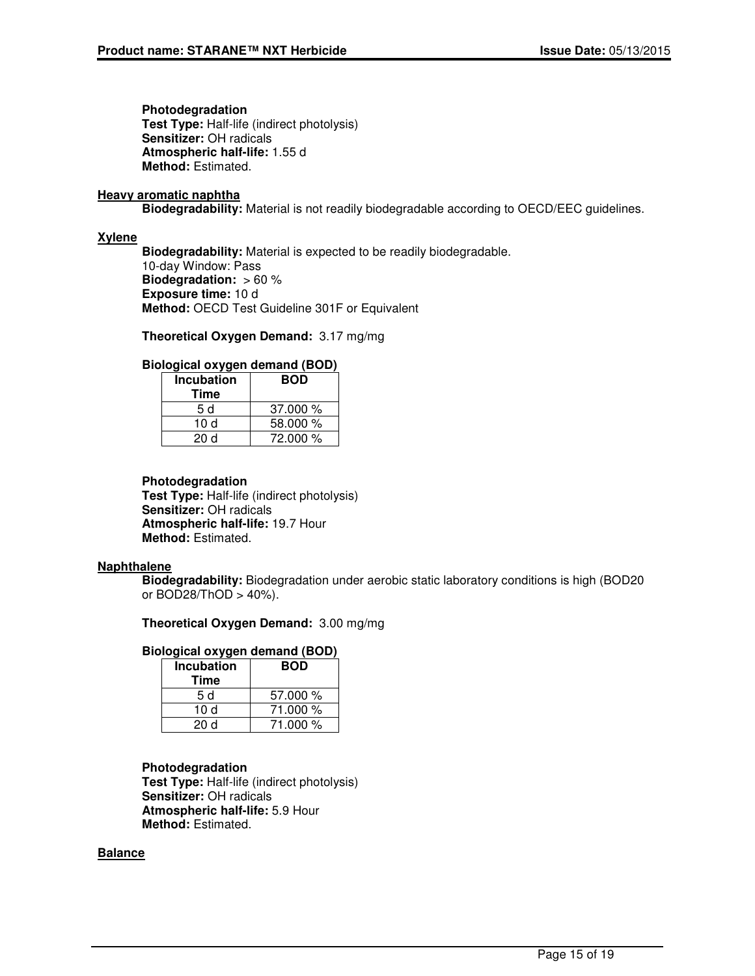**Photodegradation Test Type:** Half-life (indirect photolysis) **Sensitizer:** OH radicals **Atmospheric half-life:** 1.55 d **Method:** Estimated.

### **Heavy aromatic naphtha**

**Biodegradability:** Material is not readily biodegradable according to OECD/EEC guidelines.

### **Xylene**

**Biodegradability:** Material is expected to be readily biodegradable.

10-day Window: Pass **Biodegradation:** > 60 % **Exposure time:** 10 d **Method:** OECD Test Guideline 301F or Equivalent

**Theoretical Oxygen Demand:** 3.17 mg/mg

## **Biological oxygen demand (BOD)**

| <b>Incubation</b><br>Time | <b>BOD</b> |
|---------------------------|------------|
| 5 d                       | 37.000%    |
| 10 d                      | 58.000 %   |
| 20d                       | 72.000 %   |

### **Photodegradation**

**Test Type:** Half-life (indirect photolysis) **Sensitizer:** OH radicals **Atmospheric half-life:** 19.7 Hour **Method:** Estimated.

#### **Naphthalene**

**Biodegradability:** Biodegradation under aerobic static laboratory conditions is high (BOD20 or BOD28/ThOD > 40%).

## **Theoretical Oxygen Demand:** 3.00 mg/mg

#### **Biological oxygen demand (BOD)**

| <b>Incubation</b> | <b>BOD</b> |  |
|-------------------|------------|--|
| Time              |            |  |
| 5 d               | 57.000 %   |  |
| 10 $d$            | 71.000 %   |  |
| 20 d              | 71.000 %   |  |

## **Photodegradation**

**Test Type:** Half-life (indirect photolysis) **Sensitizer:** OH radicals **Atmospheric half-life:** 5.9 Hour **Method:** Estimated.

## **Balance**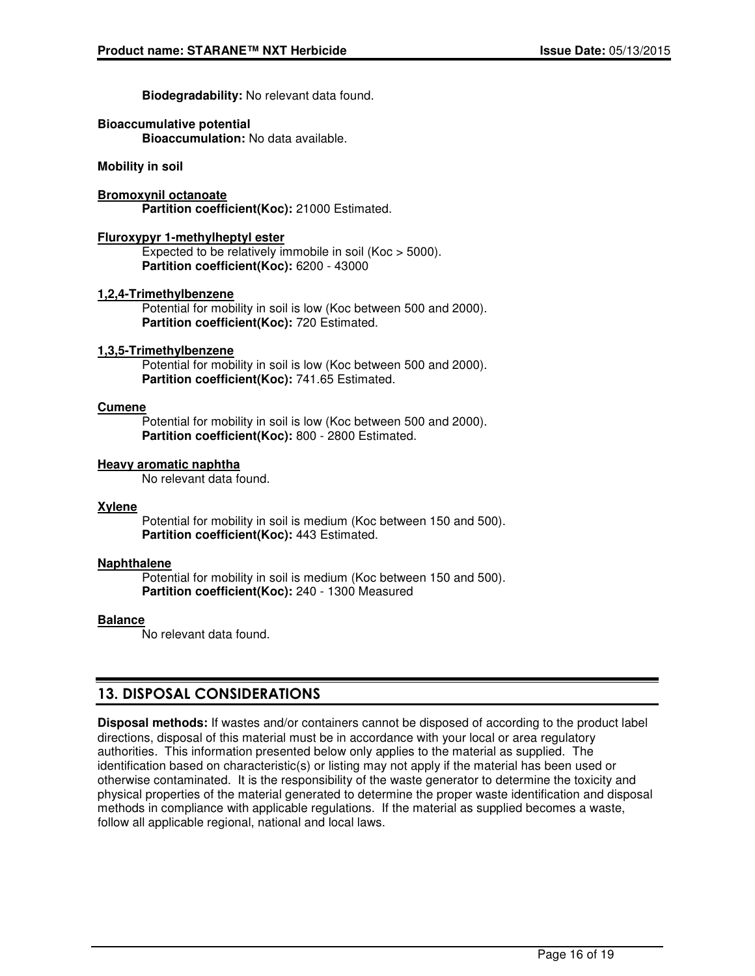**Biodegradability:** No relevant data found.

## **Bioaccumulative potential**

**Bioaccumulation:** No data available.

**Mobility in soil**

**Bromoxynil octanoate Partition coefficient(Koc):** 21000 Estimated.

#### **Fluroxypyr 1-methylheptyl ester**

Expected to be relatively immobile in soil (Koc > 5000). **Partition coefficient(Koc):** 6200 - 43000

### **1,2,4-Trimethylbenzene**

Potential for mobility in soil is low (Koc between 500 and 2000). **Partition coefficient(Koc):** 720 Estimated.

### **1,3,5-Trimethylbenzene**

Potential for mobility in soil is low (Koc between 500 and 2000). **Partition coefficient(Koc):** 741.65 Estimated.

#### **Cumene**

Potential for mobility in soil is low (Koc between 500 and 2000). Partition coefficient(Koc): 800 - 2800 Estimated.

### **Heavy aromatic naphtha**

No relevant data found.

#### **Xylene**

Potential for mobility in soil is medium (Koc between 150 and 500). **Partition coefficient(Koc):** 443 Estimated.

#### **Naphthalene**

Potential for mobility in soil is medium (Koc between 150 and 500). **Partition coefficient(Koc):** 240 - 1300 Measured

#### **Balance**

No relevant data found.

## 13. DISPOSAL CONSIDERATIONS

**Disposal methods:** If wastes and/or containers cannot be disposed of according to the product label directions, disposal of this material must be in accordance with your local or area regulatory authorities. This information presented below only applies to the material as supplied. The identification based on characteristic(s) or listing may not apply if the material has been used or otherwise contaminated. It is the responsibility of the waste generator to determine the toxicity and physical properties of the material generated to determine the proper waste identification and disposal methods in compliance with applicable regulations. If the material as supplied becomes a waste, follow all applicable regional, national and local laws.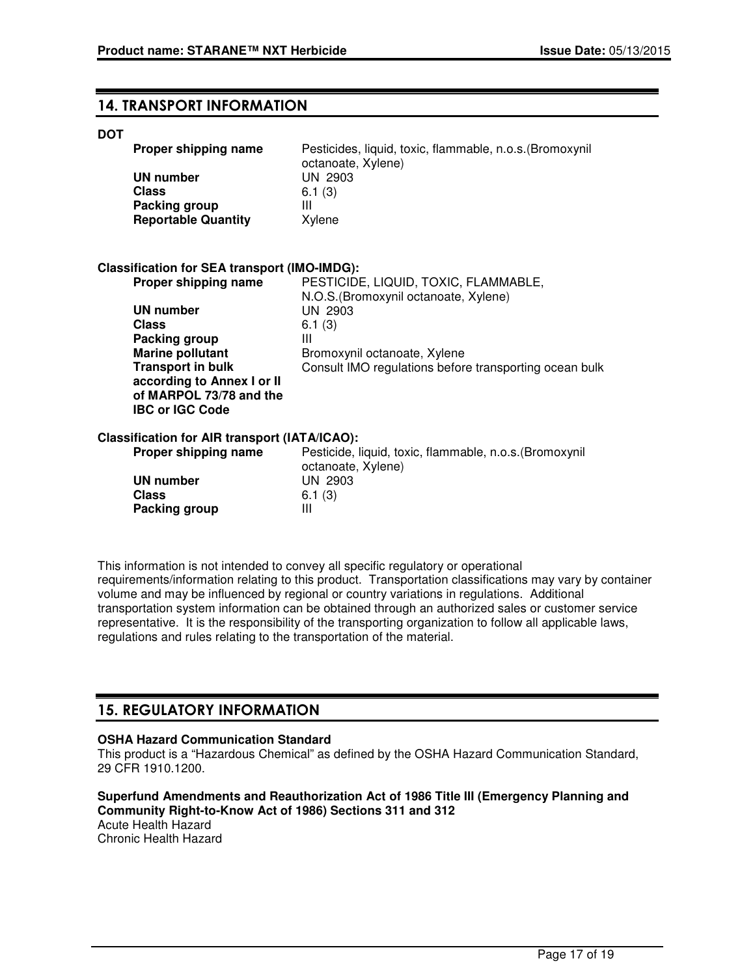## 14. TRANSPORT INFORMATION

#### **DOT**

| Proper shipping name                                                     | Pesticides, liquid, toxic, flammable, n.o.s. (Bromoxynil<br>octanoate, Xylene) |
|--------------------------------------------------------------------------|--------------------------------------------------------------------------------|
| <b>UN number</b><br>Class<br>Packing group<br><b>Reportable Quantity</b> | UN 2903<br>6.1(3)<br>Ш<br>Xylene                                               |
| <b>Classification for SEA transport (IMO-IMDG):</b>                      |                                                                                |
| Proper shipping name                                                     | PESTICIDE, LIQUID, TOXIC, FLAMMABLE,<br>N.O.S. (Bromoxynil octanoate, Xylene)  |
| <b>UN number</b>                                                         | UN 2903                                                                        |
| <b>Class</b>                                                             | 6.1(3)                                                                         |
| Packing group<br><b>Marine pollutant</b>                                 | Ш<br>Bromoxynil octanoate, Xylene                                              |
| <b>Transport in bulk</b>                                                 | Consult IMO regulations before transporting ocean bulk                         |
| according to Annex I or II                                               |                                                                                |
| of MARPOL 73/78 and the                                                  |                                                                                |
| <b>IBC or IGC Code</b>                                                   |                                                                                |
| <b>Classification for AIR transport (IATA/ICAO):</b>                     |                                                                                |
| Proper shipping name                                                     | Pesticide, liquid, toxic, flammable, n.o.s. (Bromoxynil<br>octanoate, Xylene)  |
| <b>UN number</b>                                                         | UN 2903                                                                        |
| <b>Class</b>                                                             | 6.1(3)                                                                         |
| Packing group                                                            | Ш                                                                              |

This information is not intended to convey all specific regulatory or operational requirements/information relating to this product. Transportation classifications may vary by container volume and may be influenced by regional or country variations in regulations. Additional transportation system information can be obtained through an authorized sales or customer service representative. It is the responsibility of the transporting organization to follow all applicable laws, regulations and rules relating to the transportation of the material.

## 15. REGULATORY INFORMATION

## **OSHA Hazard Communication Standard**

This product is a "Hazardous Chemical" as defined by the OSHA Hazard Communication Standard, 29 CFR 1910.1200.

#### **Superfund Amendments and Reauthorization Act of 1986 Title III (Emergency Planning and Community Right-to-Know Act of 1986) Sections 311 and 312** Acute Health Hazard

Chronic Health Hazard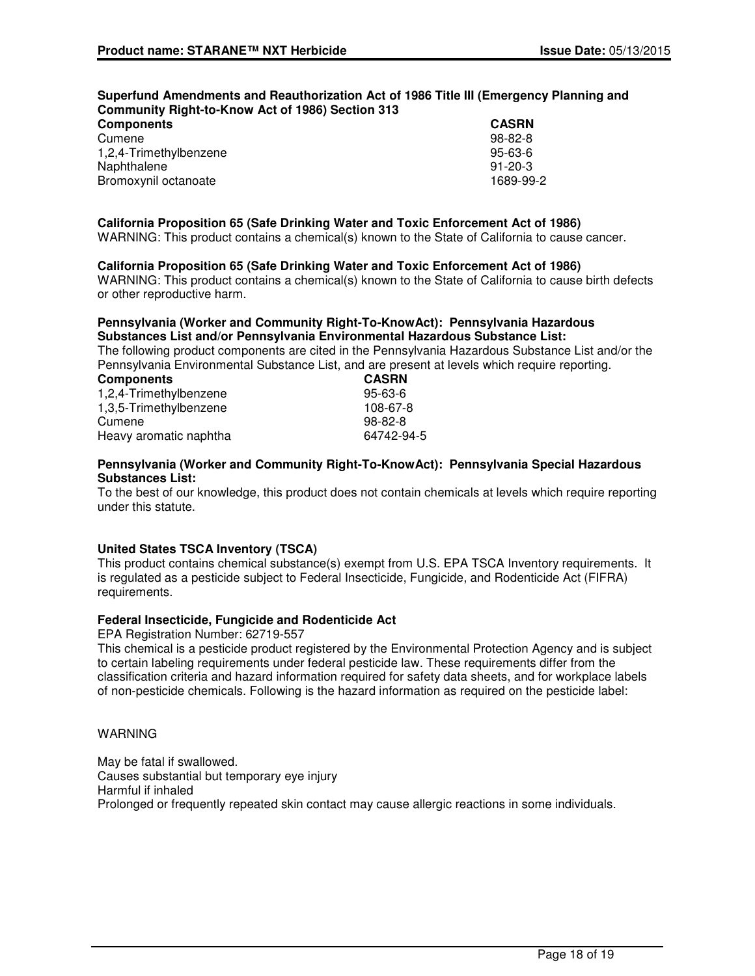#### **Superfund Amendments and Reauthorization Act of 1986 Title III (Emergency Planning and Community Right-to-Know Act of 1986) Section 313**

| <b>Components</b>      | <b>CASRN</b>  |
|------------------------|---------------|
| Cumene                 | $98 - 82 - 8$ |
| 1,2,4-Trimethylbenzene | 95-63-6       |
| Naphthalene            | $91 - 20 - 3$ |
| Bromoxynil octanoate   | 1689-99-2     |

## **California Proposition 65 (Safe Drinking Water and Toxic Enforcement Act of 1986)**

WARNING: This product contains a chemical(s) known to the State of California to cause cancer.

### **California Proposition 65 (Safe Drinking Water and Toxic Enforcement Act of 1986)**

WARNING: This product contains a chemical(s) known to the State of California to cause birth defects or other reproductive harm.

#### **Pennsylvania (Worker and Community Right-To-KnowAct): Pennsylvania Hazardous Substances List and/or Pennsylvania Environmental Hazardous Substance List:**

The following product components are cited in the Pennsylvania Hazardous Substance List and/or the Pennsylvania Environmental Substance List, and are present at levels which require reporting.

| <b>Components</b>      | <b>CASRN</b>  |
|------------------------|---------------|
| 1,2,4-Trimethylbenzene | $95 - 63 - 6$ |
| 1,3,5-Trimethylbenzene | 108-67-8      |
| Cumene                 | 98-82-8       |
| Heavy aromatic naphtha | 64742-94-5    |

#### **Pennsylvania (Worker and Community Right-To-KnowAct): Pennsylvania Special Hazardous Substances List:**

To the best of our knowledge, this product does not contain chemicals at levels which require reporting under this statute.

## **United States TSCA Inventory (TSCA)**

This product contains chemical substance(s) exempt from U.S. EPA TSCA Inventory requirements. It is regulated as a pesticide subject to Federal Insecticide, Fungicide, and Rodenticide Act (FIFRA) requirements.

#### **Federal Insecticide, Fungicide and Rodenticide Act**

EPA Registration Number: 62719-557

This chemical is a pesticide product registered by the Environmental Protection Agency and is subject to certain labeling requirements under federal pesticide law. These requirements differ from the classification criteria and hazard information required for safety data sheets, and for workplace labels of non-pesticide chemicals. Following is the hazard information as required on the pesticide label:

#### WARNING

May be fatal if swallowed. Causes substantial but temporary eye injury Harmful if inhaled Prolonged or frequently repeated skin contact may cause allergic reactions in some individuals.